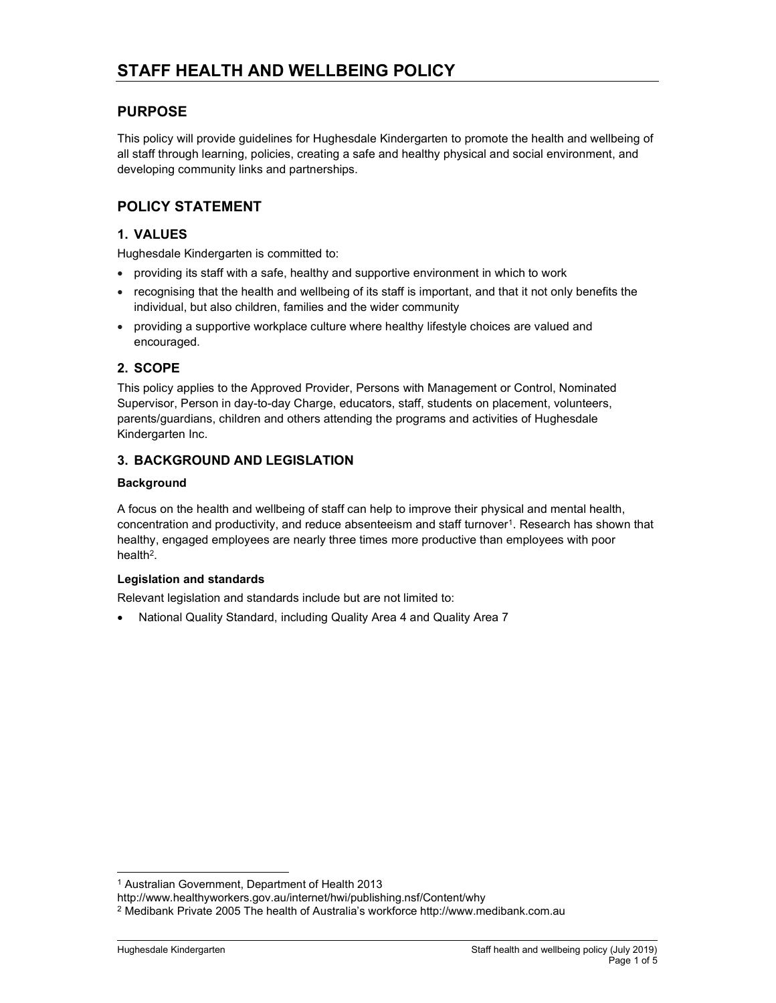## PURPOSE

This policy will provide guidelines for Hughesdale Kindergarten to promote the health and wellbeing of all staff through learning, policies, creating a safe and healthy physical and social environment, and developing community links and partnerships.

# POLICY STATEMENT

## 1. VALUES

Hughesdale Kindergarten is committed to:

- providing its staff with a safe, healthy and supportive environment in which to work
- recognising that the health and wellbeing of its staff is important, and that it not only benefits the individual, but also children, families and the wider community
- providing a supportive workplace culture where healthy lifestyle choices are valued and encouraged.

## 2. SCOPE

This policy applies to the Approved Provider, Persons with Management or Control, Nominated Supervisor, Person in day-to-day Charge, educators, staff, students on placement, volunteers, parents/guardians, children and others attending the programs and activities of Hughesdale Kindergarten Inc.

## 3. BACKGROUND AND LEGISLATION

### **Background**

A focus on the health and wellbeing of staff can help to improve their physical and mental health, concentration and productivity, and reduce absenteeism and staff turnover $^1$ . Research has shown that healthy, engaged employees are nearly three times more productive than employees with poor health<sup>2</sup> .

### Legislation and standards

Relevant legislation and standards include but are not limited to:

National Quality Standard, including Quality Area 4 and Quality Area 7

<sup>1</sup> Australian Government, Department of Health 2013

http://www.healthyworkers.gov.au/internet/hwi/publishing.nsf/Content/why

<sup>2</sup> Medibank Private 2005 The health of Australia's workforce http://www.medibank.com.au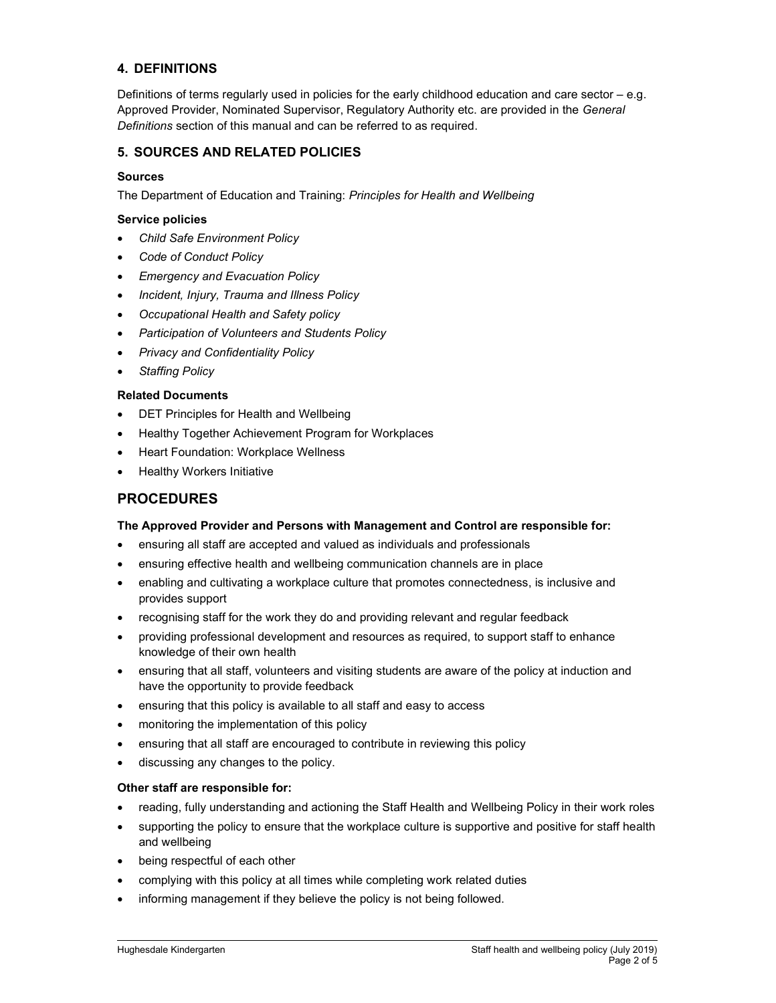## 4. DEFINITIONS

Definitions of terms regularly used in policies for the early childhood education and care sector – e.g. Approved Provider, Nominated Supervisor, Regulatory Authority etc. are provided in the General Definitions section of this manual and can be referred to as required.

### 5. SOURCES AND RELATED POLICIES

#### Sources

The Department of Education and Training: Principles for Health and Wellbeing

#### Service policies

- Child Safe Environment Policy
- Code of Conduct Policy
- Emergency and Evacuation Policy
- Incident, Injury, Trauma and Illness Policy
- Occupational Health and Safety policy
- Participation of Volunteers and Students Policy
- Privacy and Confidentiality Policy
- Staffing Policy

### Related Documents

- DET Principles for Health and Wellbeing
- Healthy Together Achievement Program for Workplaces
- Heart Foundation: Workplace Wellness
- Healthy Workers Initiative

### PROCEDURES

### The Approved Provider and Persons with Management and Control are responsible for:

- ensuring all staff are accepted and valued as individuals and professionals
- ensuring effective health and wellbeing communication channels are in place
- enabling and cultivating a workplace culture that promotes connectedness, is inclusive and provides support
- recognising staff for the work they do and providing relevant and regular feedback
- providing professional development and resources as required, to support staff to enhance knowledge of their own health
- ensuring that all staff, volunteers and visiting students are aware of the policy at induction and have the opportunity to provide feedback
- ensuring that this policy is available to all staff and easy to access
- monitoring the implementation of this policy
- ensuring that all staff are encouraged to contribute in reviewing this policy
- discussing any changes to the policy.

#### Other staff are responsible for:

- reading, fully understanding and actioning the Staff Health and Wellbeing Policy in their work roles
- supporting the policy to ensure that the workplace culture is supportive and positive for staff health and wellbeing
- being respectful of each other
- complying with this policy at all times while completing work related duties
- informing management if they believe the policy is not being followed.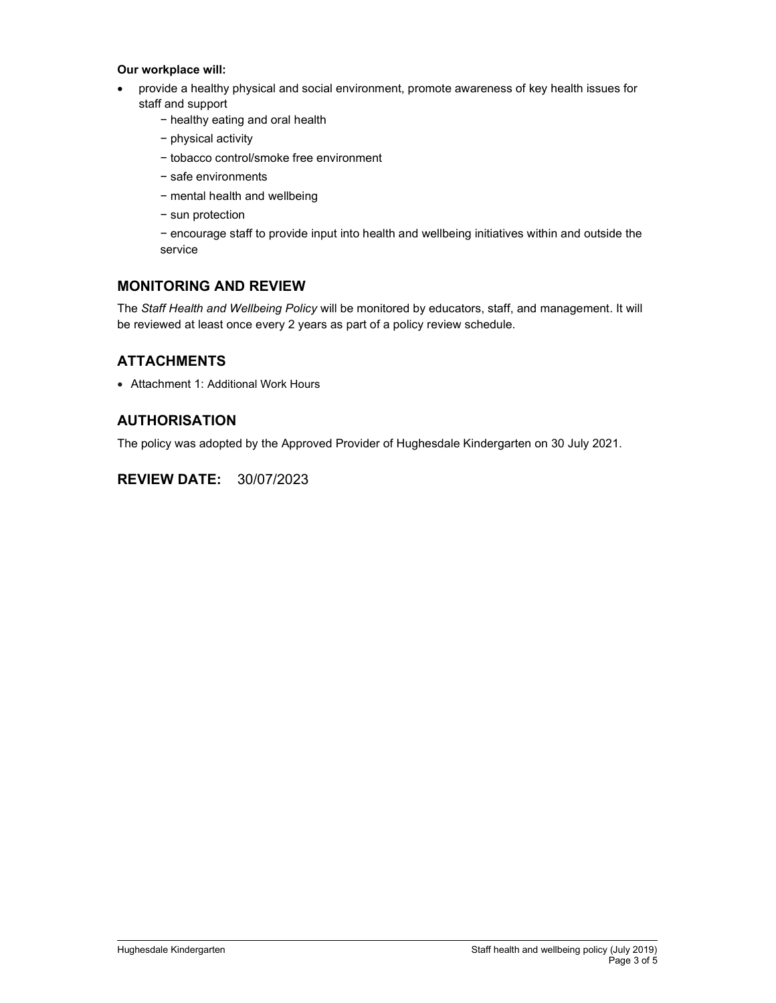### Our workplace will:

- provide a healthy physical and social environment, promote awareness of key health issues for staff and support
	- − healthy eating and oral health
	- − physical activity
	- − tobacco control/smoke free environment
	- − safe environments
	- − mental health and wellbeing
	- − sun protection

− encourage staff to provide input into health and wellbeing initiatives within and outside the service

## MONITORING AND REVIEW

The Staff Health and Wellbeing Policy will be monitored by educators, staff, and management. It will be reviewed at least once every 2 years as part of a policy review schedule.

## **ATTACHMENTS**

Attachment 1: Additional Work Hours

## AUTHORISATION

The policy was adopted by the Approved Provider of Hughesdale Kindergarten on 30 July 2021.

## REVIEW DATE: 30/07/2023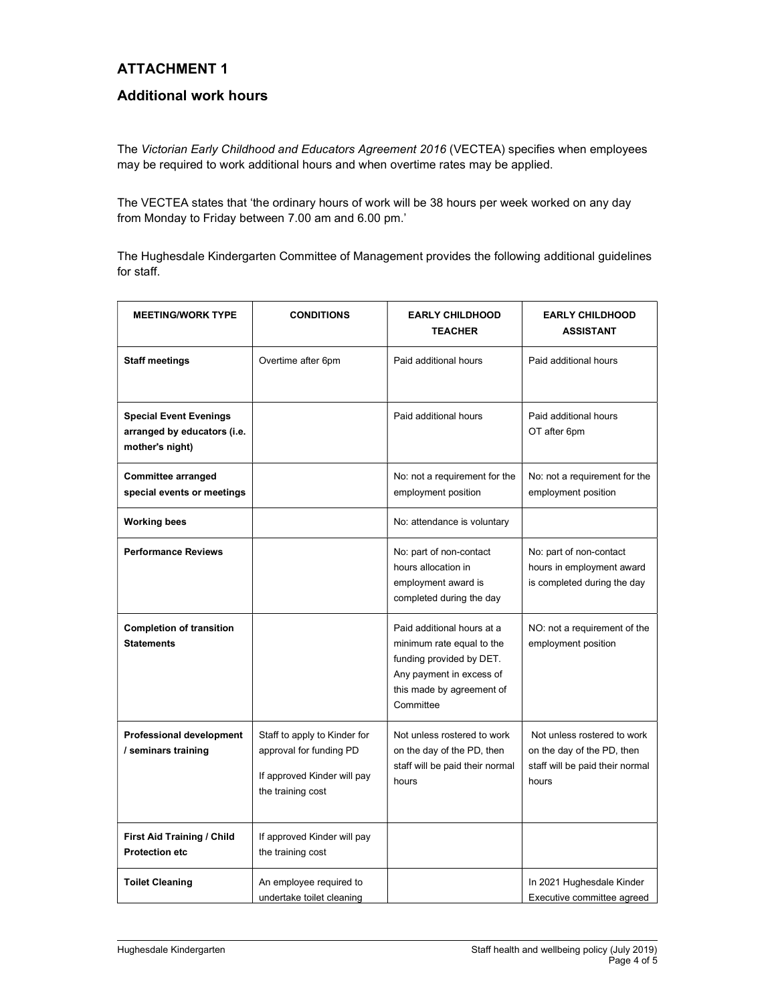# ATTACHMENT 1

# Additional work hours

The Victorian Early Childhood and Educators Agreement 2016 (VECTEA) specifies when employees may be required to work additional hours and when overtime rates may be applied.

The VECTEA states that 'the ordinary hours of work will be 38 hours per week worked on any day from Monday to Friday between 7.00 am and 6.00 pm.'

The Hughesdale Kindergarten Committee of Management provides the following additional guidelines for staff.

| <b>MEETING/WORK TYPE</b>                                                        | <b>CONDITIONS</b>                                                                                           | <b>EARLY CHILDHOOD</b><br><b>TEACHER</b>                                                                                                                  | <b>EARLY CHILDHOOD</b><br><b>ASSISTANT</b>                                                            |
|---------------------------------------------------------------------------------|-------------------------------------------------------------------------------------------------------------|-----------------------------------------------------------------------------------------------------------------------------------------------------------|-------------------------------------------------------------------------------------------------------|
| Staff meetings                                                                  | Overtime after 6pm                                                                                          | Paid additional hours                                                                                                                                     | Paid additional hours                                                                                 |
| <b>Special Event Evenings</b><br>arranged by educators (i.e.<br>mother's night) |                                                                                                             | Paid additional hours                                                                                                                                     | Paid additional hours<br>OT after 6pm                                                                 |
| <b>Committee arranged</b><br>special events or meetings                         |                                                                                                             | No: not a requirement for the<br>employment position                                                                                                      | No: not a requirement for the<br>employment position                                                  |
| <b>Working bees</b>                                                             |                                                                                                             | No: attendance is voluntary                                                                                                                               |                                                                                                       |
| <b>Performance Reviews</b>                                                      |                                                                                                             | No: part of non-contact<br>hours allocation in<br>employment award is<br>completed during the day                                                         | No: part of non-contact<br>hours in employment award<br>is completed during the day                   |
| <b>Completion of transition</b><br><b>Statements</b>                            |                                                                                                             | Paid additional hours at a<br>minimum rate equal to the<br>funding provided by DET.<br>Any payment in excess of<br>this made by agreement of<br>Committee | NO: not a requirement of the<br>employment position                                                   |
| <b>Professional development</b><br>/ seminars training                          | Staff to apply to Kinder for<br>approval for funding PD<br>If approved Kinder will pay<br>the training cost | Not unless rostered to work<br>on the day of the PD, then<br>staff will be paid their normal<br>hours                                                     | Not unless rostered to work<br>on the day of the PD, then<br>staff will be paid their normal<br>hours |
| First Aid Training / Child<br><b>Protection etc</b>                             | If approved Kinder will pay<br>the training cost                                                            |                                                                                                                                                           |                                                                                                       |
| <b>Toilet Cleaning</b>                                                          | An employee required to<br>undertake toilet cleaning                                                        |                                                                                                                                                           | In 2021 Hughesdale Kinder<br>Executive committee agreed                                               |